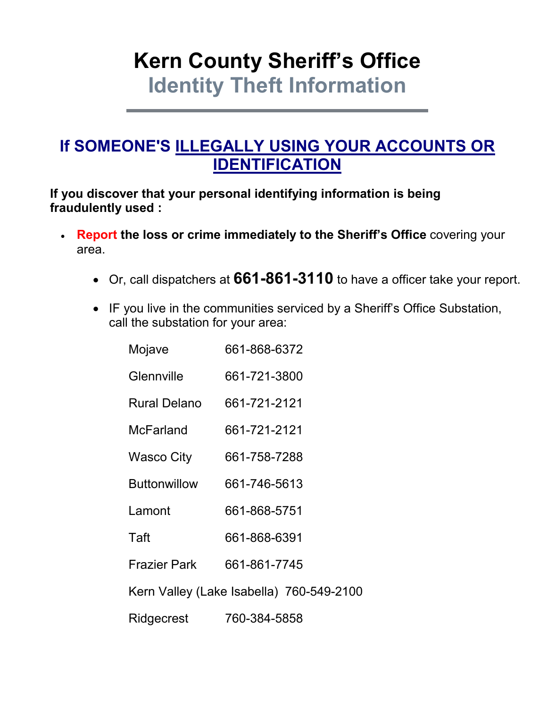# **Kern County Sheriff's Office Identity Theft Information**

# **If SOMEONE'S ILLEGALLY USING YOUR ACCOUNTS OR IDENTIFICATION**

**If you discover that your personal identifying information is being fraudulently used :**

- **Report the loss or crime immediately to the Sheriff's Office** covering your area.
	- Or, call dispatchers at **661-861-3110** to have a officer take your report.
	- IF you live in the communities serviced by a Sheriff's Office Substation, call the substation for your area:

| Mojave                                   | 661-868-6372 |
|------------------------------------------|--------------|
| Glennville                               | 661-721-3800 |
| <b>Rural Delano</b>                      | 661-721-2121 |
| <b>McFarland</b>                         | 661-721-2121 |
| Wasco City                               | 661-758-7288 |
| <b>Buttonwillow</b>                      | 661-746-5613 |
| Lamont                                   | 661-868-5751 |
| Taft                                     | 661-868-6391 |
| <b>Frazier Park</b>                      | 661-861-7745 |
| Kern Valley (Lake Isabella) 760-549-2100 |              |
| Ridgecrest                               | 760-384-5858 |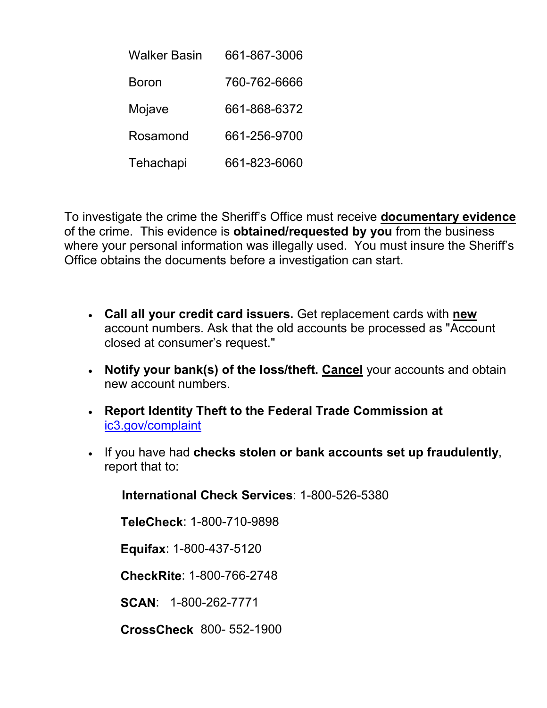| Walker Basin | 661-867-3006 |
|--------------|--------------|
| Boron        | 760-762-6666 |
| Mojave       | 661-868-6372 |
| Rosamond     | 661-256-9700 |
| Tehachapi    | 661-823-6060 |

To investigate the crime the Sheriff's Office must receive **documentary evidence** of the crime. This evidence is **obtained/requested by you** from the business where your personal information was illegally used. You must insure the Sheriff's Office obtains the documents before a investigation can start.

- **Call all your credit card issuers.** Get replacement cards with **new** account numbers. Ask that the old accounts be processed as "Account closed at consumer's request."
- **Notify your bank(s) of the loss/theft. Cancel** your accounts and obtain new account numbers.
- **Report Identity Theft to the Federal Trade Commission at**  ic3.gov/complaint
- If you have had **checks stolen or bank accounts set up fraudulently**, report that to:

**International Check Services**: 1-800-526-5380

**TeleCheck**: 1-800-710-9898

**Equifax**: 1-800-437-5120

**CheckRite**: 1-800-766-2748

**SCAN**: 1-800-262-7771

**CrossCheck** 800- 552-1900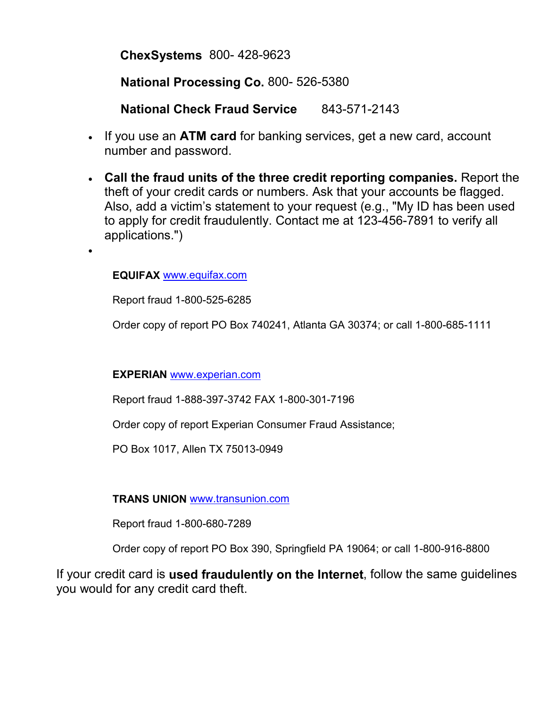**ChexSystems** 800- 428-9623

**National Processing Co.** 800- 526-5380

**National Check Fraud Service** 843-571-2143

- If you use an **ATM card** for banking services, get a new card, account number and password.
- **Call the fraud units of the three credit reporting companies.** Report the theft of your credit cards or numbers. Ask that your accounts be flagged. Also, add a victim's statement to your request (e.g., "My ID has been used to apply for credit fraudulently. Contact me at 123-456-7891 to verify all applications.")

**EQUIFAX** www.equifax.com

•

Report fraud 1-800-525-6285

Order copy of report PO Box 740241, Atlanta GA 30374; or call 1-800-685-1111

#### **EXPERIAN** www.experian.com

Report fraud 1-888-397-3742 FAX 1-800-301-7196

Order copy of report Experian Consumer Fraud Assistance;

PO Box 1017, Allen TX 75013-0949

#### **TRANS UNION** www.transunion.com

Report fraud 1-800-680-7289

Order copy of report PO Box 390, Springfield PA 19064; or call 1-800-916-8800

If your credit card is **used fraudulently on the Internet**, follow the same guidelines you would for any credit card theft.